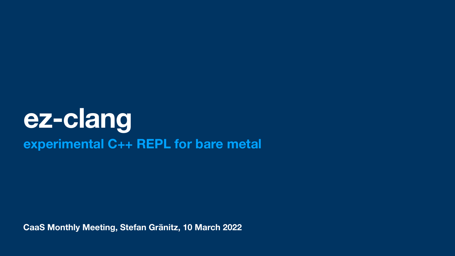**CaaS Monthly Meeting, Stefan Gränitz, 10 March 2022**

## **[ez-clang](https://echtzeit.dev/ez-clang) experimental C++ REPL for bare metal**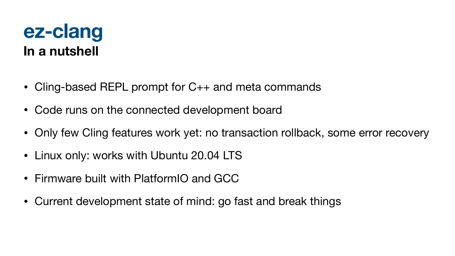#### **ez-clang In a nutshell**

- Cling-based REPL prompt for C++ and meta commands
- Code runs on the connected development board
- Only few Cling features work yet: no transaction rollback, some error recovery
- Linux only: works with Ubuntu 20.04 LTS
- Firmware built with PlatformIO and GCC
- Current development state of mind: go fast and break things
- 

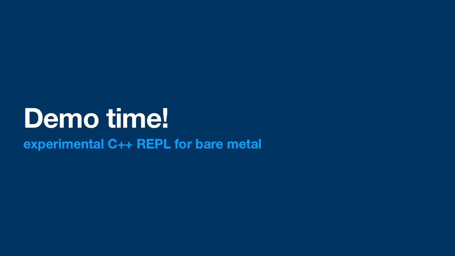## **Demo time! experimental C++ REPL for bare metal**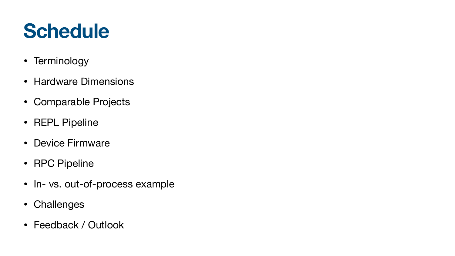## **Schedule**

- Terminology
- Hardware Dimensions
- Comparable Projects
- REPL Pipeline
- Device Firmware
- RPC Pipeline
- In- vs. out-of-process example
- Challenges
- Feedback / Outlook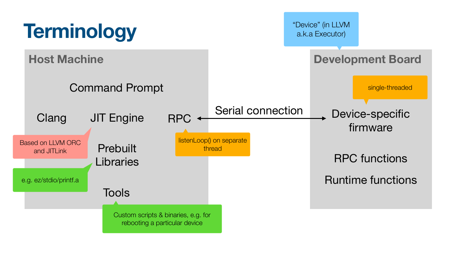#### **Development Board**





firmware

single-threaded

#### Serial connection Device-specific

RPC functions

Runtime functions

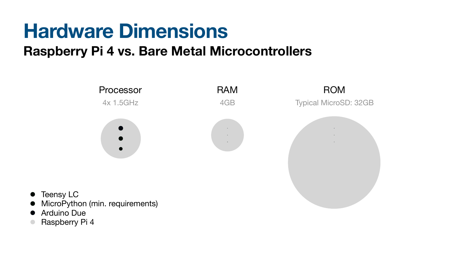- **Teensy LC**
- MicroPython (min. requirements)
- Arduino Due
- Raspberry Pi 4

#### **Hardware Dimensions Raspberry Pi 4 vs. Bare Metal Microcontrollers**

Processor RAM ROM

4x 1.5GHz 4GB Typical MicroSD: 32GB

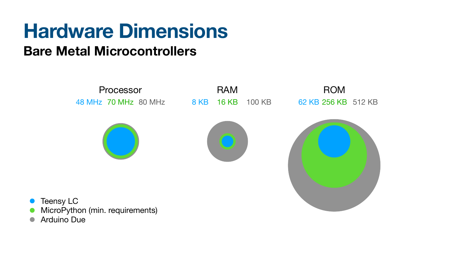

- MicroPython (min. requirements)
- Arduino Due







#### **Hardware Dimensions Bare Metal Microcontrollers**

#### Processor RAM ROM 48 MHz 70 MHz 80 MHz 8 KB 16 KB 100 KB 62 KB 256 KB 512 KB

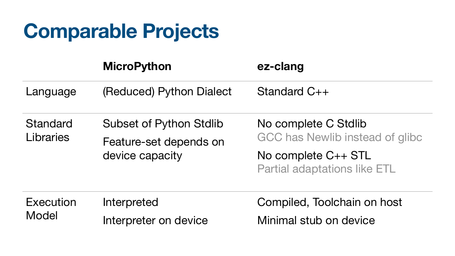## **Comparable Projects**

#### **MicroPython ez-clang**

#### Language (Reduced) Python Dialect Standard C++

**Standard** Libraries

**Execution** Model Interpreted Interpreter on device



Subset of Python Stdlib Feature-set depends on device capacity No complete C Stdlib GCC has Newlib instead of glibc No complete C++ STL Partial adaptations like ETL

> Compiled, Toolchain on host Minimal stub on device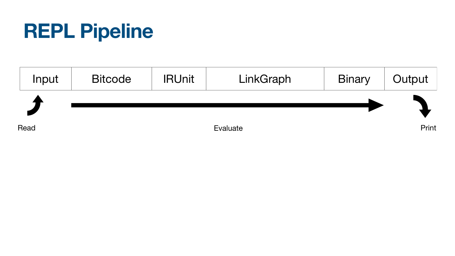

**Read** 

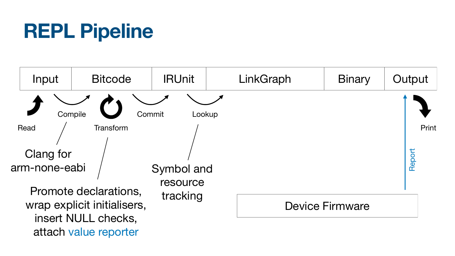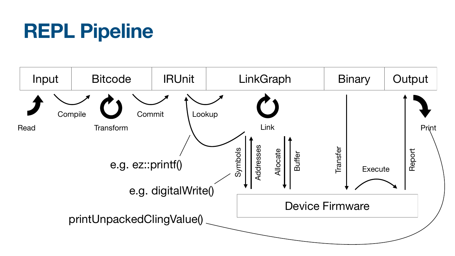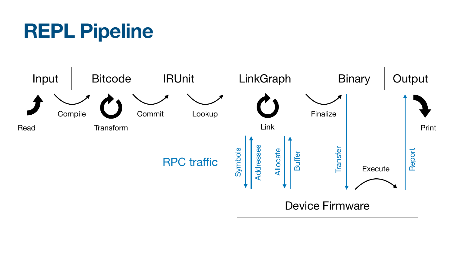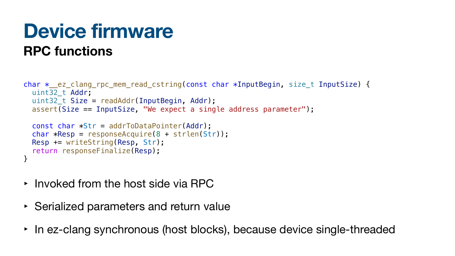### **Device firmware RPC functions**

```
char *__ez_clang_rpc_mem_read_cstring(const char *InputBegin, size_t InputSize) {
  uint32_t Addr;
   uint32_t Size = readAddr(InputBegin, Addr);
   assert(Size == InputSize, "We expect a single address parameter");
  const char *Str = addrToDataPointer(Addr);char *Resp = responseAcquire(8 + strlen(Str));
```

```
 Resp += writeString(Resp, Str);
  return responseFinalize(Resp);
}
```
- Invoked from the host side via RPC
- ‣ Serialized parameters and return value
- In ez-clang synchronous (host blocks), because device single-threaded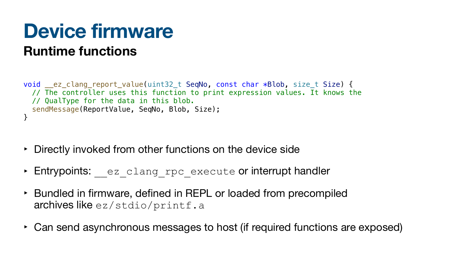### **Device firmware Runtime functions**

void \_\_ez\_clang\_report\_value(uint32\_t SeqNo, const char \*Blob, size\_t Size) { // The controller uses this function to print expression values. It knows the // QualType for the data in this blob. sendMessage(ReportValue, SeqNo, Blob, Size); }

- ‣ Directly invoked from other functions on the device side
- ‣ Entrypoints: \_\_ez\_clang\_rpc\_execute or interrupt handler
- ‣ Bundled in firmware, defined in REPL or loaded from precompiled archives like ez/stdio/printf.a
- ‣ Can send asynchronous messages to host (if required functions are exposed)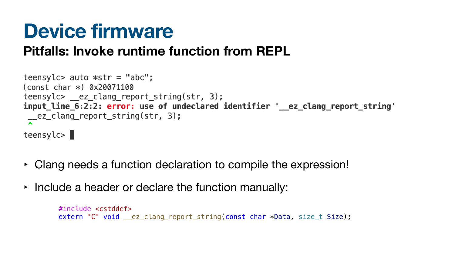### **Device firmware Pitfalls: Invoke runtime function from REPL**

- ‣ Clang needs a function declaration to compile the expression!
- Include a header or declare the function manually:

```
teensylc> auto *str = "abc";
\text{(const char)} 0x20071100
teensylc > \_\_e z_clang_report_string(str, 3);input_line_6:2:2: error: use of undeclared identifier '__ez_clang_report_string'
\frac{1}{2} ez_clang_report_string(str, 3);
teensyc>
```
#include <cstddef> extern "C" void \_\_ez\_clang\_report\_string(const char \*Data, size\_t Size);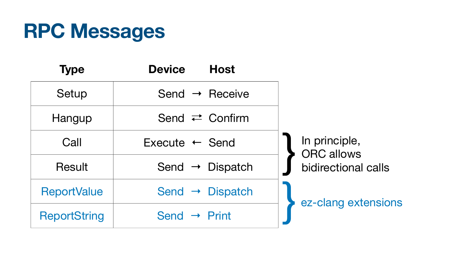}

}

Print

## **RPC Messages**

| <b>Type</b>         | <b>Device</b>             |
|---------------------|---------------------------|
| Setup               | Send $\rightarrow$ F      |
| Hangup              | Send $\rightleftarrows$ ( |
| Call                | $Execute$ $\leftarrow$ S  |
| Result              | Send $\rightarrow$        |
| <b>ReportValue</b>  | Send $\rightarrow$ D      |
| <b>ReportString</b> | Send $\rightarrow$ F      |





Confirm

Send

Dispatch

Dispatch

ez-clang extensions

#### In principle, ORC allows bidirectional calls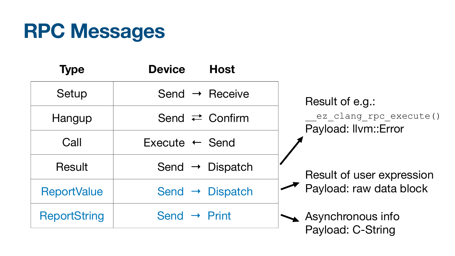## **RPC Messages**

| <b>Type</b>         | <b>Device</b>             |
|---------------------|---------------------------|
| Setup               | Send $\rightarrow$ F      |
| Hangup              | Send $\rightleftarrows$ ( |
| Call                | $Execute$ $\leftarrow$ S  |
| Result              | Send $\rightarrow$        |
| <b>ReportValue</b>  | Send $\rightarrow$ D      |
| <b>ReportString</b> | Send $\rightarrow$ F      |

#### **Host**

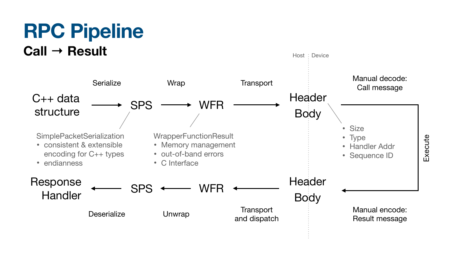### **RPC Pipeline Call → Result**



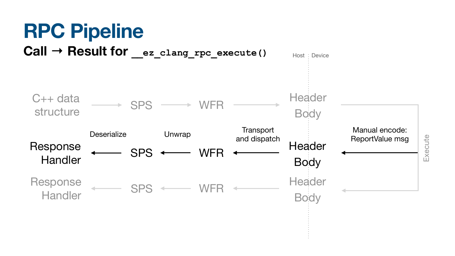# **RPC Pipeline**

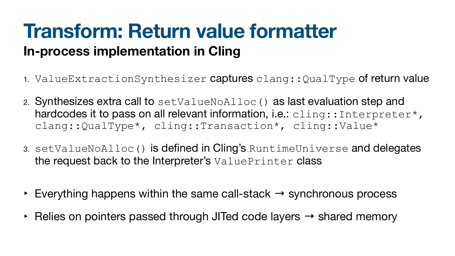### **Transform: Return value formatter In-process implementation in Cling**

- 
- clang::QualType\*, cling::Transaction\*, cling::Value\*
- the request back to the Interpreter's ValuePrinter class
- $\triangleright$  Everything happens within the same call-stack  $\rightarrow$  synchronous process
- ‣ Relies on pointers passed through JITed code layers → shared memory

1. ValueExtractionSynthesizer captures clang::QualType of return value

2. Synthesizes extra call to setValueNoAlloc() as last evaluation step and hardcodes it to pass on all relevant information, i.e.: cling:: Interpreter\*,

3. setValueNoAlloc() is defined in Cling's RuntimeUniverse and delegates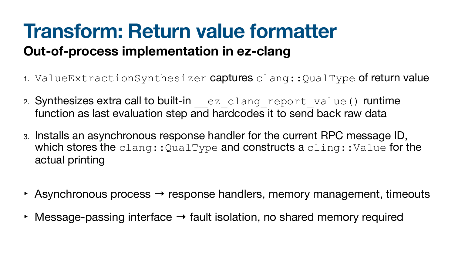#### **Transform: Return value formatter Out-of-process implementation in ez-clang**

3. Installs an asynchronous response handler for the current RPC message ID, which stores the  $\text{clang}:$  QualType and constructs a  $\text{cling}:$  Value for the

 $\rightarrow$  Asynchronous process  $\rightarrow$  response handlers, memory management, timeouts

- 
- 2. Synthesizes extra call to built-in ez clang report value() runtime function as last evaluation step and hardcodes it to send back raw data
- actual printing
- 
- 

1. ValueExtractionSynthesizer captures clang::QualType of return value

‣ Message-passing interface → fault isolation, no shared memory required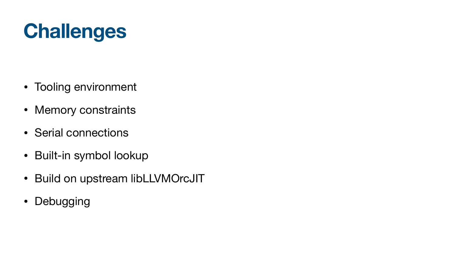## **Challenges**

- Tooling environment
- Memory constraints
- Serial connections
- Built-in symbol lookup
- Build on upstream libLLVMOrcJIT
- Debugging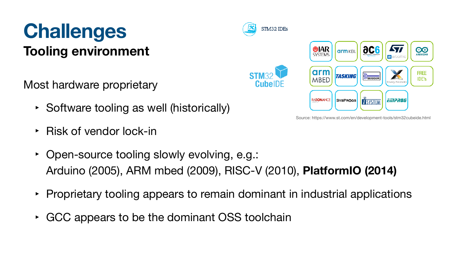#### **Challenges Tooling environment**

Most hardware proprietary

- ‣ Software tooling as well (historically)
- ‣ Risk of vendor lock-in
- Open-source tooling slowly evolv Arduino (2005), ARM mbed (2009), RISC-V (2010), **PlatformIO (2014)**
- 
- ‣ GCC appears to be the dominant OSS toolchain



• Proprietary tooling appears to remain dominant in industrial applications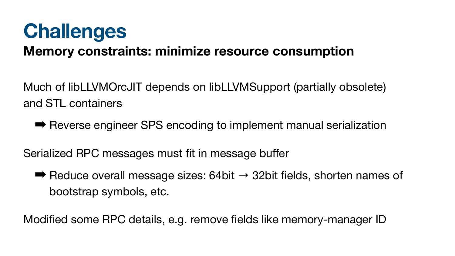### **Challenges Memory constraints: minimize resource consumption**

Much of libLLVMOrcJIT depends on libLLVMSupport (partially obsolete) and STL containers

■ Reverse engineer SPS encoding to implement manual serialization

 $\rightarrow$  Reduce overall message sizes: 64bit  $\rightarrow$  32bit fields, shorten names of bootstrap symbols, etc.

Serialized RPC messages must fit in message buffer

Modified some RPC details, e.g. remove fields like memory-manager ID

- 
- 
-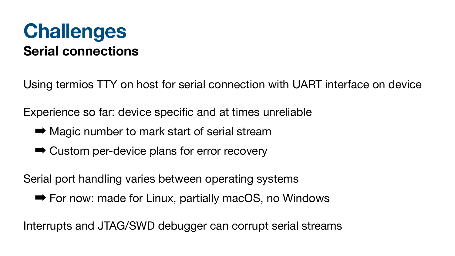#### **Challenges Serial connections**

- Using termios TTY on host for serial connection with UART interface on device
- Experience so far: device specific and at times unreliable
	- Magic number to mark start of serial stream
	- ➡ Custom per-device plans for error recovery
- Serial port handling varies between operating systems ➡ For now: made for Linux, partially macOS, no Windows
- Interrupts and JTAG/SWD debugger can corrupt serial streams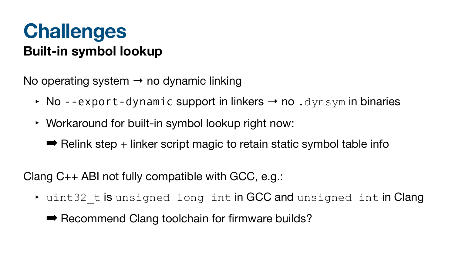#### **Challenges Built-in symbol lookup**

No operating system  $\rightarrow$  no dynamic linking

- No --export-dynamic support in linkers  $\rightarrow$  no . dynsym in binaries
- ‣ Workaround for built-in symbol lookup right now:
	- $\rightarrow$  Relink step + linker script magic to retain static symbol table info

Clang C++ ABI not fully compatible with GCC, e.g.:

- uint32 t is unsigned long int in GCC and unsigned int in Clang
	- Recommend Clang toolchain for firmware builds?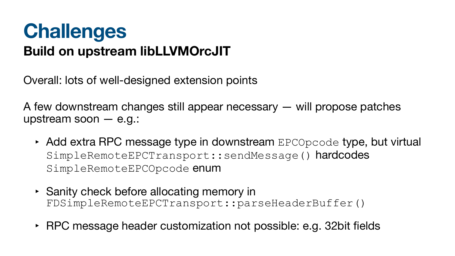### **Challenges Build on upstream libLLVMOrcJIT**

Overall: lots of well-designed extension points

A few downstream changes still appear necessary — will propose patches upstream soon — e.g.:

- $\triangleright$  Add extra RPC message type in downstream  $EPCOpcode$  type, but virtual SimpleRemoteEPCTransport::sendMessage() hardcodes SimpleRemoteEPCOpcode enum
- ‣ Sanity check before allocating memory in FDSimpleRemoteEPCTransport::parseHeaderBuffer()
- ‣ RPC message header customization not possible: e.g. 32bit fields

- 
- 
-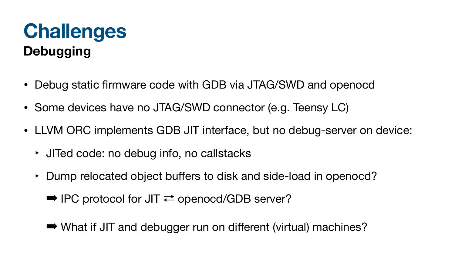### **Challenges Debugging**

- Debug static firmware code with GDB via JTAG/SWD and openocd
- Some devices have no JTAG/SWD connector (e.g. Teensy LC)
- LLVM ORC implements GDB JIT interface, but no debug-server on device:
	- ‣ JITed code: no debug info, no callstacks
	- ‣ Dump relocated object buffers to disk and side-load in openocd?
		- $\rightarrow$  IPC protocol for JIT  $\rightleftarrows$  openocd/GDB server?
		- ➡ What if JIT and debugger run on different (virtual) machines?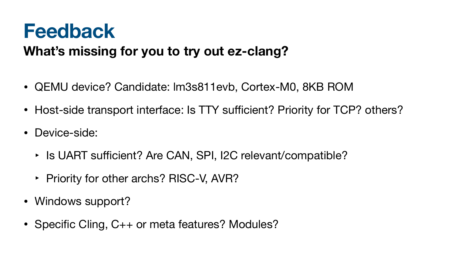### **Feedback**

- QEMU device? Candidate: lm3s811evb, Cortex-M0, 8KB ROM
- Host-side transport interface: Is TTY sufficient? Priority for TCP? others?
- Device-side:
	- Is UART sufficient? Are CAN, SPI, I2C relevant/compatible?
	- ‣ Priority for other archs? RISC-V, AVR?
- Windows support?
- Specific Cling, C++ or meta features? Modules?

#### **What's missing for you to try out ez-clang?**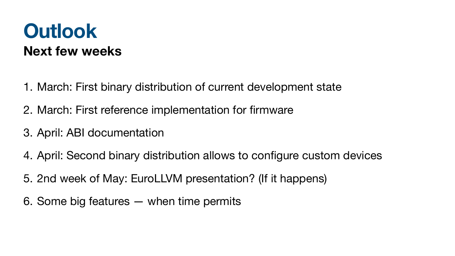#### **Outlook Next few weeks**

- 1. March: First binary distribution of current development state
- 2. March: First reference implementation for firmware
- 3. April: ABI documentation
- 4. April: Second binary distribution allows to configure custom devices
- 5. 2nd week of May: EuroLLVM presentation? (If it happens)
- 6. Some big features when time permits